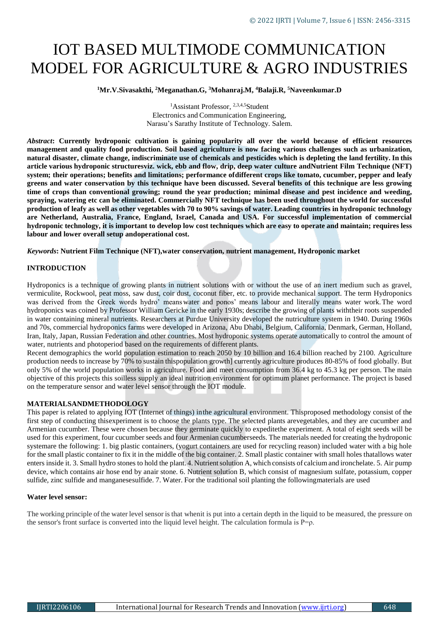# IOT BASED MULTIMODE COMMUNICATION MODEL FOR AGRICULTURE & AGRO INDUSTRIES

**<sup>1</sup>Mr.V.Sivasakthi, <sup>2</sup>Meganathan.G, <sup>3</sup>Mohanraj.M, <sup>4</sup>Balaji.R, <sup>5</sup>Naveenkumar.D**

<sup>1</sup>Assistant Professor, <sup>2,3,4,5</sup>Student Electronics and Communication Engineering, Narasu's Sarathy Institute of Technology. Salem.

Abstract: Currently hydroponic cultivation is gaining popularity all over the world because of efficient resources management and quality food production. Soil based agriculture is now facing various challenges such as urbanization, **natural disaster, climate change, indiscriminate use of chemicals and pesticides which is depleting the land fertility. In this** article various hydroponic structuresviz. wick, ebb and flow, drip, deep water culture and Nutrient Film Technique (NFT) **system; their operations; benefits and limitations; performance ofdifferent crops like tomato, cucumber, pepper and leafy greens and water conservation by this technique have been discussed. Several benefits of this technique are less growing time of crops than conventional growing; round the year production; minimal disease and pest incidence and weeding, spraying, watering etc can be eliminated. Commercially NFT technique has been used throughout the world for successful production of leafy as well as other vegetables with 70 to 90% savings of water. Leading countries in hydroponic technology are Netherland, Australia, France, England, Israel, Canada and USA. For successful implementation of commercial hydroponic technology, it is important to develop low cost techniques which are easy to operate and maintain; requires less labour and lower overall setup andoperational cost.**

*Keywords***: Nutrient Film Technique (NFT),water conservation, nutrient management, Hydroponic market**

# **INTRODUCTION**

Hydroponics is a technique of growing plants in nutrient solutions with or without the use of an inert medium such as gravel, vermiculite, Rockwool, peat moss, saw dust, coir dust, coconut fiber, etc. to provide mechanical support. The term Hydroponics was derived from the Greek words hydro' means water and ponos' means labour and literally means water work.The word hydroponics was coined by Professor William Gericke in the early 1930s; describe the growing of plants withtheir roots suspended in water containing mineral nutrients. Researchers at Purdue University developed the nutriculture system in 1940. During 1960s and 70s, commercial hydroponics farms were developed in Arizona, Abu Dhabi, Belgium, California, Denmark, German, Holland, Iran, Italy, Japan, Russian Federation and other countries. Most hydroponic systems operate automatically to control the amount of water, nutrients and photoperiod based on the requirements of different plants.

Recent demographics the world population estimation to reach 2050 by 10 billion and 16.4 billion reached by 2100. Agriculture production needs to increase by 70% to sustain thispopulation growth] currently agriculture produces 80-85% of food globally. But only 5% of the world population works in agriculture. Food and meet consumption from 36.4 kg to 45.3 kg per person. The main objective of this projects this soilless supply an ideal nutrition environment for optimum planet performance. The project is based on the temperature sensor and water level sensor through the IOT module.

# **MATERIALSANDMETHODOLOGY**

This paper is related to applying IOT (Internet of things) in the agricultural environment. Thisproposed methodology consist of the first step of conducting thisexperiment is to choose the plants type. The selected plants arevegetables, and they are cucumber and Armenian cucumber. These were chosen because they germinate quickly to expeditethe experiment. A total of eight seeds will be used for this experiment, four cucumber seeds and four Armenian cucumberseeds. The materials needed for creating the hydroponic systemare the following: 1. big plastic containers, (yogurt containers are used for recycling reason) included water with a big hole for the small plastic container to fix it in the middle of the big container. 2. Small plastic container with small holes thatallows water enters inside it. 3. Small hydro stones to hold the plant. 4. Nutrientsolution A, which consists of calciumand ironchelate. 5. Air pump device, which contains air hose end by anair stone. 6. Nutrient solution B, which consist of magnesium sulfate, potassium, copper sulfide, zinc sulfide and manganesesulfide. 7. Water. For the traditional soil planting the followingmaterials are used

# **Water level sensor:**

The working principle of the water level sensor is that whenit is put into a certain depth in the liquid to be measured, the pressure on the sensor's front surface is converted into the liquid level height. The calculation formula is  $P=0$ .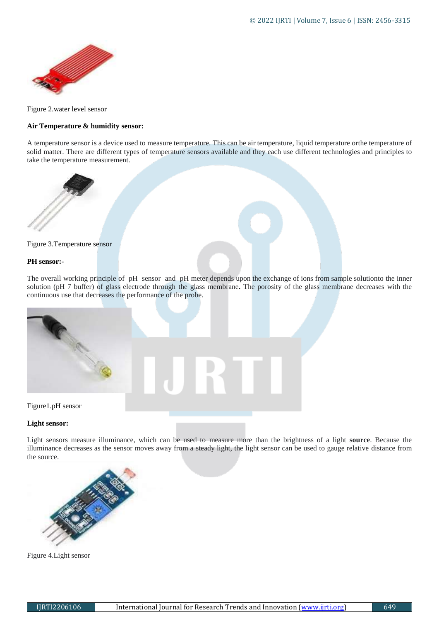

Figure 2.water level sensor

# **Air Temperature & humidity sensor:**

A temperature sensor is a device used to measure temperature. This can be air temperature, liquid temperature orthe temperature of solid matter. There are different types of temperature sensors available and they each use different technologies and principles to take the temperature measurement.



Figure 3.Temperature sensor

### **PH sensor:-**

The overall working principle of pH sensor and pH meter depends upon the exchange of ions from sample solutionto the inner solution (pH 7 buffer) of glass electrode through the glass membrane**.** The porosity of the glass membrane decreases with the continuous use that decreases the performance of the probe.



# **Light sensor:**

Light sensors measure illuminance, which can be used to measure more than the brightness of a light **source**. Because the illuminance decreases as the sensor moves away from a steady light, the light sensor can be used to gauge relative distance from the source.



Figure 4.Light sensor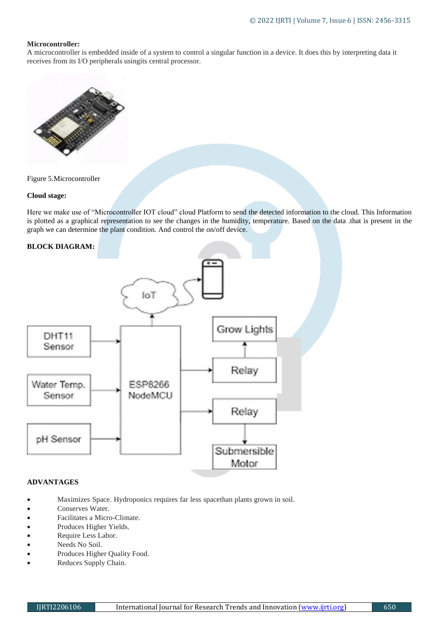# **Microcontroller:**

A microcontroller is embedded inside of a system to control a singular function in a device. It does this by interpreting data it receives from its I/O peripherals usingits central processor.



Figure 5.Microcontroller

# **Cloud stage:**

Here we make use of "Microcontroller IOT cloud" cloud Platform to send the detected information to the cloud. This Information is plotted as a graphical representation to see the changes in the humidity, temperature. Based on the data .that is present in the graph we can determine the plant condition. And control the on/off device.



# **ADVANTAGES**

- Maximizes Space. Hydroponics requires far less spacethan plants grown in soil.
- Conserves Water.
- Facilitates a Micro-Climate.
- Produces Higher Yields.<br>• Require Less Labor.
- Require Less Labor.
- Needs No Soil.
- Produces Higher Quality Food.
- Reduces Supply Chain.